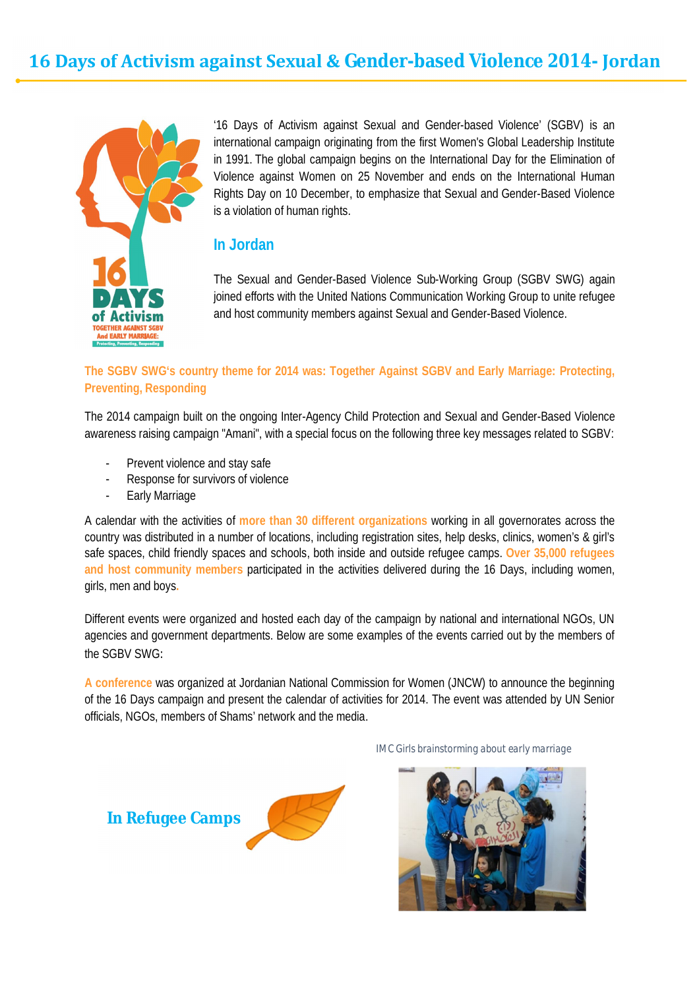

'16 Days of Activism against Sexual and Gender-based Violence' (SGBV) is an international campaign originating from the first Women's Global Leadership Institute in 1991. The global campaign begins on the International Day for the Elimination of Violence against Women on 25 November and ends on the International Human Rights Day on 10 December, to emphasize that Sexual and Gender-Based Violence is a violation of human rights.

## **In Jordan**

The Sexual and Gender-Based Violence Sub-Working Group (SGBV SWG) again joined efforts with the United Nations Communication Working Group to unite refugee and host community members against Sexual and Gender-Based Violence.

## **The SGBV SWG's country theme for 2014 was: Together Against SGBV and Early Marriage: Protecting, Preventing, Responding**

The 2014 campaign built on the ongoing Inter-Agency Child Protection and Sexual and Gender-Based Violence awareness raising campaign "Amani", with a special focus on the following three key messages related to SGBV:

- Prevent violence and stay safe
- Response for survivors of violence
- Early Marriage

A calendar with the activities of **more than 30 different organizations** working in all governorates across the country was distributed in a number of locations, including registration sites, help desks, clinics, women's & girl's safe spaces, child friendly spaces and schools, both inside and outside refugee camps. **Over 35,000 refugees and host community members** participated in the activities delivered during the 16 Days, including women, girls, men and boys**.** 

Different events were organized and hosted each day of the campaign by national and international NGOs, UN agencies and government departments. Below are some examples of the events carried out by the members of the SGBV SWG:

**A conference** was organized at Jordanian National Commission for Women (JNCW) to announce the beginning of the 16 Days campaign and present the calendar of activities for 2014. The event was attended by UN Senior officials, NGOs, members of Shams' network and the media.



*IMC Girls brainstorming about early marriage*

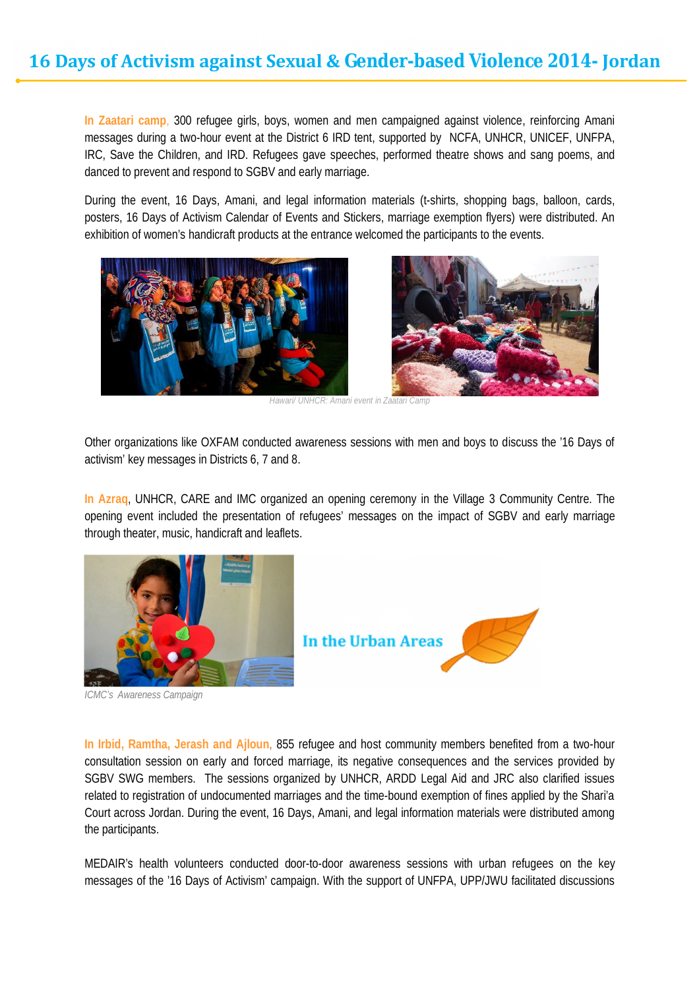**In Zaatari camp**, 300 refugee girls, boys, women and men campaigned against violence, reinforcing Amani messages during a two-hour event at the District 6 IRD tent, supported by NCFA, UNHCR, UNICEF, UNFPA, IRC, Save the Children, and IRD. Refugees gave speeches, performed theatre shows and sang poems, and danced to prevent and respond to SGBV and early marriage.

During the event, 16 Days, Amani, and legal information materials (t-shirts, shopping bags, balloon, cards, posters, 16 Days of Activism Calendar of Events and Stickers, marriage exemption flyers) were distributed. An exhibition of women's handicraft products at the entrance welcomed the participants to the events.



Other organizations like OXFAM conducted awareness sessions with men and boys to discuss the '16 Days of activism' key messages in Districts 6, 7 and 8.

**In Azraq**, UNHCR, CARE and IMC organized an opening ceremony in the Village 3 Community Centre. The opening event included the presentation of refugees' messages on the impact of SGBV and early marriage through theater, music, handicraft and leaflets.





*ICMC's Awareness Campaign* 

**In Irbid, Ramtha, Jerash and Ajloun**, 855 refugee and host community members benefited from a two-hour consultation session on early and forced marriage, its negative consequences and the services provided by SGBV SWG members. The sessions organized by UNHCR, ARDD Legal Aid and JRC also clarified issues related to registration of undocumented marriages and the time-bound exemption of fines applied by the Shari'a Court across Jordan. During the event, 16 Days, Amani, and legal information materials were distributed among the participants.

MEDAIR's health volunteers conducted door-to-door awareness sessions with urban refugees on the key messages of the '16 Days of Activism' campaign. With the support of UNFPA, UPP/JWU facilitated discussions